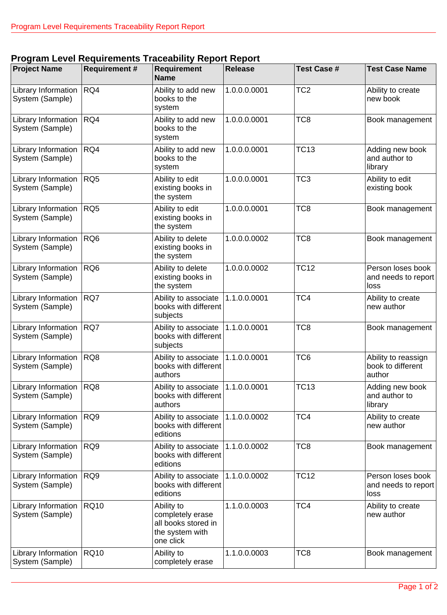## **Program Level Requirements Traceability Report Report**

| <b>Project Name</b>                           | <b>Requirement #</b> | <b>Requirement</b><br><b>Name</b>                                                     | <b>Release</b> | <b>Test Case #</b> | <b>Test Case Name</b>                              |
|-----------------------------------------------|----------------------|---------------------------------------------------------------------------------------|----------------|--------------------|----------------------------------------------------|
| Library Information<br>System (Sample)        | RQ4                  | Ability to add new<br>books to the<br>system                                          | 1.0.0.0.0001   | TC <sub>2</sub>    | Ability to create<br>new book                      |
| Library Information<br>System (Sample)        | RQ4                  | Ability to add new<br>books to the<br>system                                          | 1.0.0.0.0001   | TC <sub>8</sub>    | Book management                                    |
| Library Information<br>System (Sample)        | RQ4                  | Ability to add new<br>books to the<br>system                                          | 1.0.0.0.0001   | <b>TC13</b>        | Adding new book<br>and author to<br>library        |
| Library Information<br>System (Sample)        | RQ5                  | Ability to edit<br>existing books in<br>the system                                    | 1.0.0.0.0001   | TC <sub>3</sub>    | Ability to edit<br>existing book                   |
| Library Information   RQ5<br>System (Sample)  |                      | Ability to edit<br>existing books in<br>the system                                    | 1.0.0.0.0001   | TC <sub>8</sub>    | Book management                                    |
| Library Information<br>System (Sample)        | RQ <sub>6</sub>      | Ability to delete<br>existing books in<br>the system                                  | 1.0.0.0.0002   | TC <sub>8</sub>    | Book management                                    |
| Library Information<br>System (Sample)        | RQ <sub>6</sub>      | Ability to delete<br>existing books in<br>the system                                  | 1.0.0.0.0002   | <b>TC12</b>        | Person loses book<br>and needs to report<br>loss   |
| Library Information<br>System (Sample)        | RQ7                  | Ability to associate<br>books with different<br>subjects                              | 1.1.0.0.0001   | TC4                | Ability to create<br>new author                    |
| Library Information<br>System (Sample)        | RQ7                  | Ability to associate<br>books with different<br>subjects                              | 1.1.0.0.0001   | TC <sub>8</sub>    | Book management                                    |
| Library Information   RQ8<br>System (Sample)  |                      | Ability to associate 1.1.0.0.0001<br>books with different<br>authors                  |                | TC <sub>6</sub>    | Ability to reassign<br>book to different<br>author |
| Library Information<br>System (Sample)        | RQ8                  | Ability to associate<br>books with different<br>authors                               | 1.1.0.0.0001   | <b>TC13</b>        | Adding new book<br>and author to<br>library        |
| Library Information<br>System (Sample)        | RQ9                  | Ability to associate<br>books with different<br>editions                              | 1.1.0.0.0002   | TC4                | Ability to create<br>new author                    |
| Library Information<br>System (Sample)        | RQ9                  | Ability to associate<br>books with different<br>editions                              | 1.1.0.0.0002   | TC <sub>8</sub>    | Book management                                    |
| Library Information<br>System (Sample)        | RQ9                  | Ability to associate<br>books with different<br>editions                              | 1.1.0.0.0002   | <b>TC12</b>        | Person loses book<br>and needs to report<br>loss   |
| Library Information<br>System (Sample)        | <b>RQ10</b>          | Ability to<br>completely erase<br>all books stored in<br>the system with<br>one click | 1.1.0.0.0003   | TC4                | Ability to create<br>new author                    |
| Library Information   RQ10<br>System (Sample) |                      | Ability to<br>completely erase                                                        | 1.1.0.0.0003   | TC <sub>8</sub>    | Book management                                    |